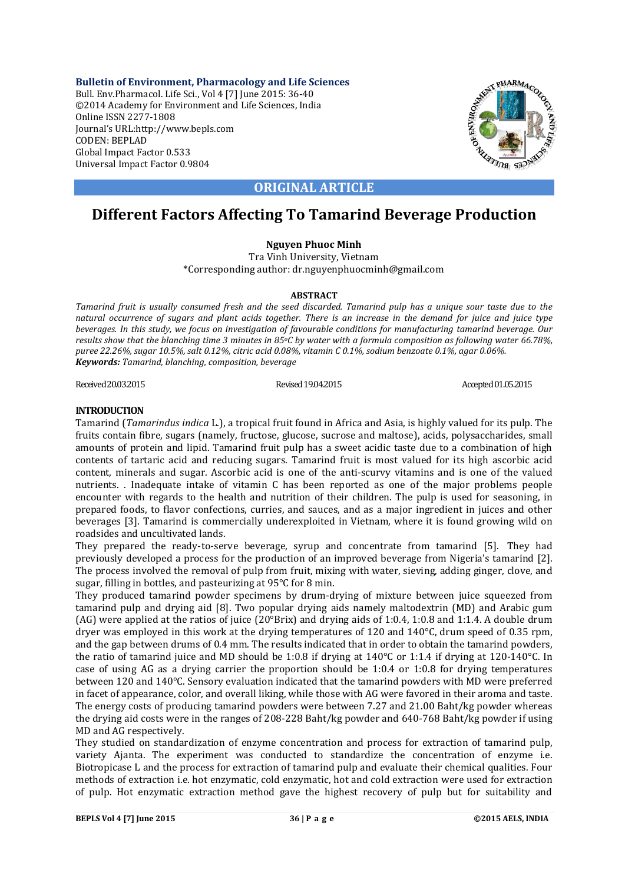**Bulletin of Environment, Pharmacology and Life Sciences** Bull. Env.Pharmacol. Life Sci., Vol 4 [7] June 2015: 36-40 ©2014 Academy for Environment and Life Sciences, India Online ISSN 2277-1808 Journal's URL:http://www.bepls.com CODEN: BEPLAD Global Impact Factor 0.533 Universal Impact Factor 0.9804



# **ORIGINAL ARTICLE**

# **Different Factors Affecting To Tamarind Beverage Production**

# **Nguyen Phuoc Minh**

Tra Vinh University, Vietnam \*Corresponding author: dr.nguyenphuocminh@gmail.com

# **ABSTRACT**

*Tamarind fruit is usually consumed fresh and the seed discarded. Tamarind pulp has a unique sour taste due to the natural occurrence of sugars and plant acids together. There is an increase in the demand for juice and juice type beverages. In this study, we focus on investigation of favourable conditions for manufacturing tamarind beverage. Our results show that the blanching time 3 minutes in 85oC by water with a formula composition as following water 66.78%, puree 22.26%, sugar 10.5%, salt 0.12%, citric acid 0.08%, vitamin C 0.1%, sodium benzoate 0.1%, agar 0.06%. Keywords: Tamarind, blanching, composition, beverage*

Revised 19.04.2015 Revised 19.04.2015 Revised 19.04.2015 Accepted 01.05.2015

# **INTRODUCTION**

Tamarind (*Tamarindus indica* L.), a tropical fruit found in Africa and Asia, is highly valued for its pulp. The fruits contain fibre, sugars (namely, fructose, glucose, sucrose and maltose), acids, polysaccharides, small amounts of protein and lipid. Tamarind fruit pulp has a sweet acidic taste due to a combination of high contents of tartaric acid and reducing sugars. Tamarind fruit is most valued for its high ascorbic acid content, minerals and sugar. Ascorbic acid is one of the anti-scurvy vitamins and is one of the valued nutrients. . Inadequate intake of vitamin C has been reported as one of the major problems people encounter with regards to the health and nutrition of their children. The pulp is used for seasoning, in prepared foods, to flavor confections, curries, and sauces, and as a major ingredient in juices and other beverages [3]. Tamarind is commercially underexploited in Vietnam, where it is found growing wild on roadsides and uncultivated lands.

They prepared the ready-to-serve beverage, syrup and concentrate from tamarind [5]. They had previously developed a process for the production of an improved beverage from Nigeria's tamarind [2]. The process involved the removal of pulp from fruit, mixing with water, sieving, adding ginger, clove, and sugar, filling in bottles, and pasteurizing at 95°C for 8 min.

They produced tamarind powder specimens by drum-drying of mixture between juice squeezed from tamarind pulp and drying aid [8]. Two popular drying aids namely maltodextrin (MD) and Arabic gum (AG) were applied at the ratios of juice (20°Brix) and drying aids of 1:0.4, 1:0.8 and 1:1.4. A double drum dryer was employed in this work at the drying temperatures of 120 and 140°C, drum speed of 0.35 rpm, and the gap between drums of 0.4 mm. The results indicated that in order to obtain the tamarind powders, the ratio of tamarind juice and MD should be 1:0.8 if drying at 140°C or 1:1.4 if drying at 120-140°C. In case of using AG as a drying carrier the proportion should be 1:0.4 or 1:0.8 for drying temperatures between 120 and 140°C. Sensory evaluation indicated that the tamarind powders with MD were preferred in facet of appearance, color, and overall liking, while those with AG were favored in their aroma and taste. The energy costs of producing tamarind powders were between 7.27 and 21.00 Baht/kg powder whereas the drying aid costs were in the ranges of 208-228 Baht/kg powder and 640-768 Baht/kg powder if using MD and AG respectively.

They studied on standardization of enzyme concentration and process for extraction of tamarind pulp, variety Ajanta. The experiment was conducted to standardize the concentration of enzyme i.e. Biotropicase L and the process for extraction of tamarind pulp and evaluate their chemical qualities. Four methods of extraction i.e. hot enzymatic, cold enzymatic, hot and cold extraction were used for extraction of pulp. Hot enzymatic extraction method gave the highest recovery of pulp but for suitability and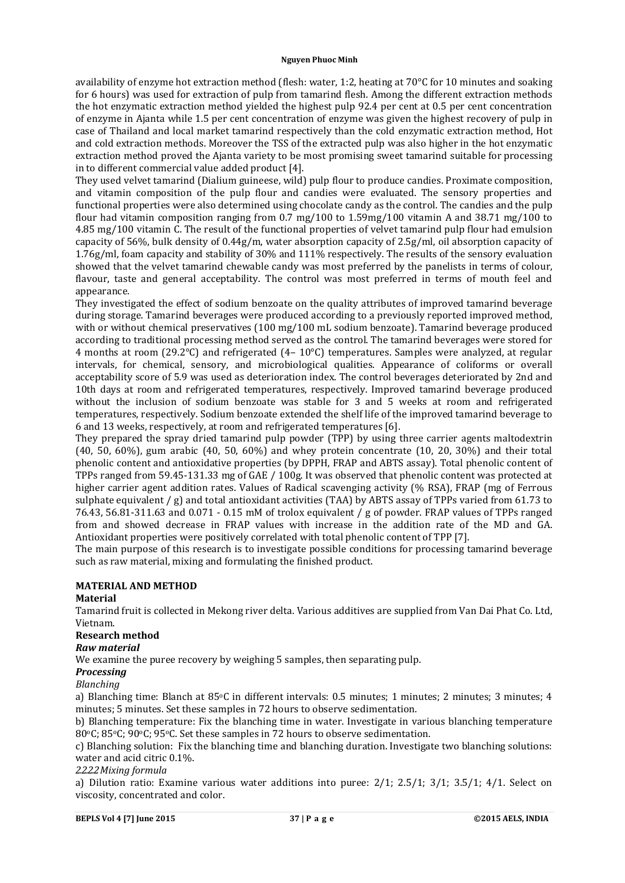#### **Nguyen Phuoc Minh**

availability of enzyme hot extraction method (flesh: water, 1:2, heating at 70°C for 10 minutes and soaking for 6 hours) was used for extraction of pulp from tamarind flesh. Among the different extraction methods the hot enzymatic extraction method yielded the highest pulp 92.4 per cent at 0.5 per cent concentration of enzyme in Ajanta while 1.5 per cent concentration of enzyme was given the highest recovery of pulp in case of Thailand and local market tamarind respectively than the cold enzymatic extraction method, Hot and cold extraction methods. Moreover the TSS of the extracted pulp was also higher in the hot enzymatic extraction method proved the Ajanta variety to be most promising sweet tamarind suitable for processing in to different commercial value added product [4].

They used velvet tamarind (Dialium guineese, wild) pulp flour to produce candies. Proximate composition, and vitamin composition of the pulp flour and candies were evaluated. The sensory properties and functional properties were also determined using chocolate candy as the control. The candies and the pulp flour had vitamin composition ranging from 0.7 mg/100 to 1.59mg/100 vitamin A and 38.71 mg/100 to 4.85 mg/100 vitamin C. The result of the functional properties of velvet tamarind pulp flour had emulsion capacity of 56%, bulk density of 0.44g/m, water absorption capacity of 2.5g/ml, oil absorption capacity of 1.76g/ml, foam capacity and stability of 30% and 111% respectively. The results of the sensory evaluation showed that the velvet tamarind chewable candy was most preferred by the panelists in terms of colour, flavour, taste and general acceptability. The control was most preferred in terms of mouth feel and appearance.

They investigated the effect of sodium benzoate on the quality attributes of improved tamarind beverage during storage. Tamarind beverages were produced according to a previously reported improved method, with or without chemical preservatives (100 mg/100 mL sodium benzoate). Tamarind beverage produced according to traditional processing method served as the control. The tamarind beverages were stored for 4 months at room (29.2°C) and refrigerated (4– 10°C) temperatures. Samples were analyzed, at regular intervals, for chemical, sensory, and microbiological qualities. Appearance of coliforms or overall acceptability score of 5.9 was used as deterioration index. The control beverages deteriorated by 2nd and 10th days at room and refrigerated temperatures, respectively. Improved tamarind beverage produced without the inclusion of sodium benzoate was stable for 3 and 5 weeks at room and refrigerated temperatures, respectively. Sodium benzoate extended the shelf life of the improved tamarind beverage to 6 and 13 weeks, respectively, at room and refrigerated temperatures [6].

They prepared the spray dried tamarind pulp powder (TPP) by using three carrier agents maltodextrin (40, 50, 60%), gum arabic (40, 50, 60%) and whey protein concentrate (10, 20, 30%) and their total phenolic content and antioxidative properties (by DPPH, FRAP and ABTS assay). Total phenolic content of TPPs ranged from 59.45-131.33 mg of GAE / 100g. It was observed that phenolic content was protected at higher carrier agent addition rates. Values of Radical scavenging activity (% RSA), FRAP (mg of Ferrous sulphate equivalent / g) and total antioxidant activities (TAA) by ABTS assay of TPPs varied from 61.73 to 76.43, 56.81-311.63 and 0.071 - 0.15 mM of trolox equivalent / g of powder. FRAP values of TPPs ranged from and showed decrease in FRAP values with increase in the addition rate of the MD and GA. Antioxidant properties were positively correlated with total phenolic content of TPP [7].

The main purpose of this research is to investigate possible conditions for processing tamarind beverage such as raw material, mixing and formulating the finished product.

# **MATERIAL AND METHOD**

# **Material**

Tamarind fruit is collected in Mekong river delta. Various additives are supplied from Van Dai Phat Co. Ltd, Vietnam.

# **Research method**

# *Raw material*

We examine the puree recovery by weighing 5 samples, then separating pulp.

# *Processing*

*Blanching*

a) Blanching time: Blanch at 85oC in different intervals: 0.5 minutes; 1 minutes; 2 minutes; 3 minutes; 4 minutes; 5 minutes. Set these samples in 72 hours to observe sedimentation.

b) Blanching temperature: Fix the blanching time in water. Investigate in various blanching temperature 80°C; 85°C; 90°C; 95°C. Set these samples in 72 hours to observe sedimentation.

c) Blanching solution: Fix the blanching time and blanching duration. Investigate two blanching solutions: water and acid citric 0.1%.

# *2.2.2.2Mixing formula*

a) Dilution ratio: Examine various water additions into puree: 2/1; 2.5/1; 3/1; 3.5/1; 4/1. Select on viscosity, concentrated and color.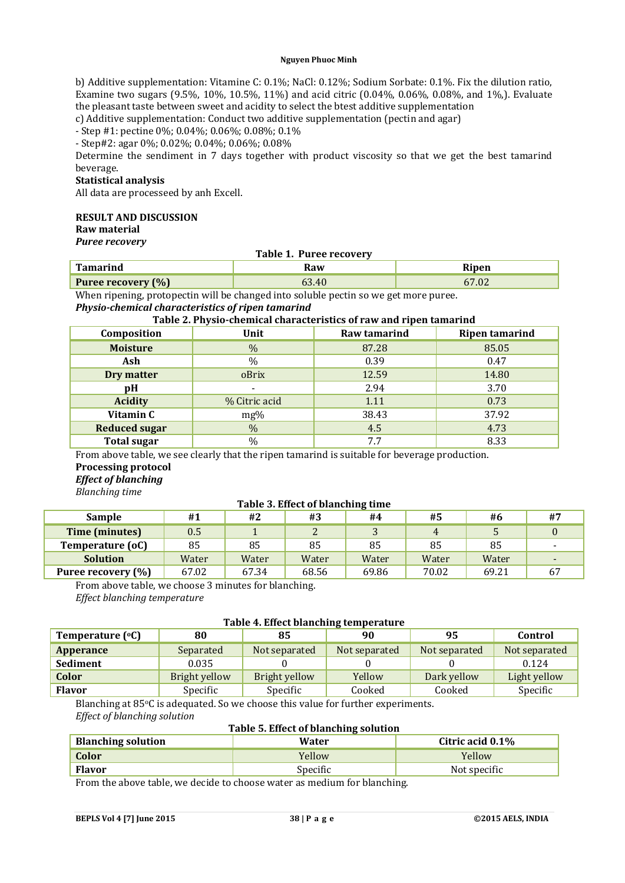#### **Nguyen Phuoc Minh**

b) Additive supplementation: Vitamine C: 0.1%; NaCl: 0.12%; Sodium Sorbate: 0.1%. Fix the dilution ratio, Examine two sugars (9.5%, 10%, 10.5%, 11%) and acid citric (0.04%, 0.06%, 0.08%, and 1%,). Evaluate the pleasant taste between sweet and acidity to select the btest additive supplementation

c) Additive supplementation: Conduct two additive supplementation (pectin and agar)

- Step #1: pectine 0%; 0.04%; 0.06%; 0.08%; 0.1%

- Step#2: agar 0%; 0.02%; 0.04%; 0.06%; 0.08%

Determine the sendiment in 7 days together with product viscosity so that we get the best tamarind beverage.

# **Statistical analysis**

All data are processeed by anh Excell.

### **RESULT AND DISCUSSION**

**Raw material**

*Puree recovery*

# **Table 1. Puree recovery**

| <b>Tamarino</b>           | ≀ลw | Ripen |
|---------------------------|-----|-------|
| <b>Puree recovery (%)</b> |     | $h$ . |

When ripening, protopectin will be changed into soluble pectin so we get more puree. *Physio-chemical characteristics of ripen tamarind*

# **Table 2. Physio-chemical characteristics of raw and ripen tamarind**

| Composition          | Unit          | Raw tamarind | <b>Ripen tamarind</b> |
|----------------------|---------------|--------------|-----------------------|
| <b>Moisture</b>      | $\%$          | 87.28        | 85.05                 |
| Ash                  | $\%$          | 0.39         | 0.47                  |
| Dry matter           | oBrix         | 12.59        | 14.80                 |
| pH                   |               | 2.94         | 3.70                  |
| <b>Acidity</b>       | % Citric acid | 1.11         | 0.73                  |
| Vitamin C            | $mg\%$        | 38.43        | 37.92                 |
| <b>Reduced sugar</b> | $\%$          | 4.5          | 4.73                  |
| <b>Total sugar</b>   | $\%$          | 7.7          | 8.33                  |

From above table, we see clearly that the ripen tamarind is suitable for beverage production. **Processing protocol**

# *Effect of blanching*

*Blanching time*

# **Table 3. Effect of blanching time**

|                    | ້     |       |                |       |       |       |              |
|--------------------|-------|-------|----------------|-------|-------|-------|--------------|
| Sample             | #1    | #2    | #3             | #4    | #5    | #6    | #7           |
| Time (minutes)     | 0.5   |       | $\overline{ }$ |       |       |       |              |
| Temperature (oC)   | 85    | 85    | 85             | 85    | 85    | 85    |              |
| <b>Solution</b>    | Water | Water | Water          | Water | Water | Water |              |
| Puree recovery (%) | 67.02 | 67.34 | 68.56          | 69.86 | 70.02 | 69.21 | $\mathbf{b}$ |

From above table, we choose 3 minutes for blanching.

*Effect blanching temperature*

# **Table 4. Effect blanching temperature**

| Temperature $(°C)$ | 80            | 85            | 90            | 95            | Control       |
|--------------------|---------------|---------------|---------------|---------------|---------------|
| Apperance          | Separated     | Not separated | Not separated | Not separated | Not separated |
| <b>Sediment</b>    | 0.035         |               |               |               | 0.124         |
| Color              | Bright yellow | Bright yellow | Yellow        | Dark yellow   | Light yellow  |
| <b>Flavor</b>      | Specific      | Specific      | Cooked        | Cooked        | Specific      |

Blanching at 85°C is adequated. So we choose this value for further experiments. *Effect of blanching solution*

# **Table 5. Effect of blanching solution**

| <b>Blanching solution</b> | Water           | Citric acid 0.1% |
|---------------------------|-----------------|------------------|
| Color                     | Yellow          | Yellow           |
| <b>Flavor</b>             | <b>Specific</b> | Not specific     |

From the above table, we decide to choose water as medium for blanching.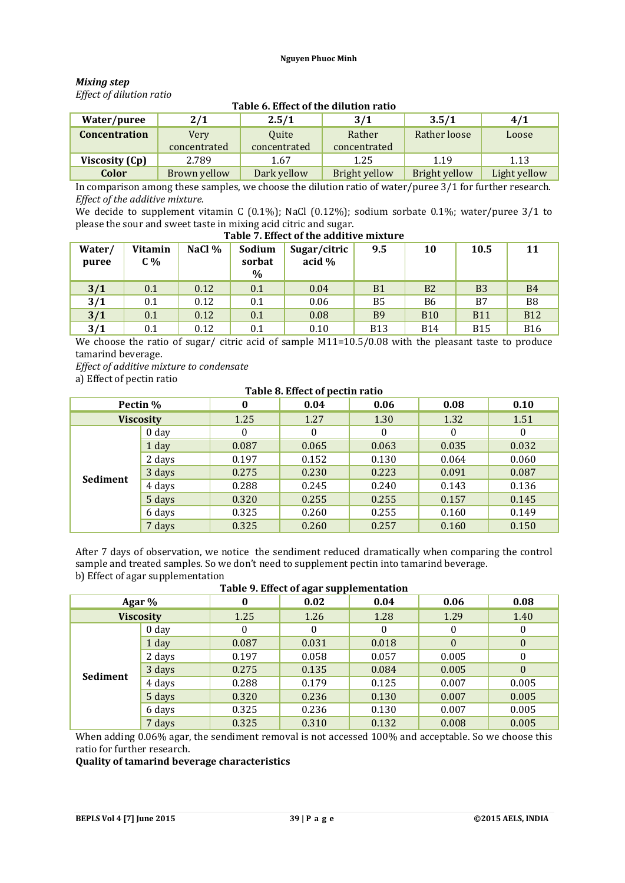### *Mixing step Effect of dilution ratio*

| Table of Ellect of the unution fatio |              |              |               |               |              |  |  |  |
|--------------------------------------|--------------|--------------|---------------|---------------|--------------|--|--|--|
| Water/puree                          | 2/1          | 2.5/1        | 3/1           | 3.5/1         | 4/1          |  |  |  |
| <b>Concentration</b>                 | Very         | <b>Ouite</b> | Rather        | Rather loose  | Loose        |  |  |  |
|                                      | concentrated | concentrated | concentrated  |               |              |  |  |  |
| Viscosity (Cp)                       | 2.789        | 1.67         | 1.25          | 1.19          | 1.13         |  |  |  |
| Color                                | Brown yellow | Dark yellow  | Bright yellow | Bright yellow | Light yellow |  |  |  |

# **Table 6. Effect of the dilution ratio**

In comparison among these samples, we choose the dilution ratio of water/puree 3/1 for further research. *Effect of the additive mixture.*

We decide to supplement vitamin C (0.1%); NaCl (0.12%); sodium sorbate 0.1%; water/puree 3/1 to please the sour and sweet taste in mixing acid citric and sugar.

| Table 7. Effect of the additive mixture |                  |        |                          |                        |            |                |            |                |  |
|-----------------------------------------|------------------|--------|--------------------------|------------------------|------------|----------------|------------|----------------|--|
| Water/<br>puree                         | Vitamin<br>$C\%$ | NaCl % | Sodium<br>sorbat<br>$\%$ | Sugar/citric<br>acid % | 9.5        | 10             | 10.5       | 11             |  |
| 3/1                                     | 0.1              | 0.12   | 0.1                      | 0.04                   | <b>B1</b>  | B <sub>2</sub> | <b>B3</b>  | B <sub>4</sub> |  |
| 3/1                                     | 0.1              | 0.12   | 0.1                      | 0.06                   | B5         | <b>B6</b>      | B7         | B <sub>8</sub> |  |
| 3/1                                     | 0.1              | 0.12   | 0.1                      | 0.08                   | <b>B</b> 9 | <b>B10</b>     | <b>B11</b> | <b>B12</b>     |  |
| 3/1                                     | 0.1              | 0.12   | 0.1                      | 0.10                   | <b>B13</b> | <b>B14</b>     | <b>B15</b> | <b>B16</b>     |  |

We choose the ratio of sugar/ citric acid of sample M11=10.5/0.08 with the pleasant taste to produce tamarind beverage.

*Effect of additive mixture to condensate*

a) Effect of pectin ratio

| $\overline{\phantom{a}}$<br>$\mathbf{I}$<br>Table 8. Effect of pectin ratio |                  |          |       |          |       |       |  |
|-----------------------------------------------------------------------------|------------------|----------|-------|----------|-------|-------|--|
|                                                                             | Pectin %         | $\bf{0}$ | 0.04  | 0.06     | 0.08  | 0.10  |  |
|                                                                             | <b>Viscosity</b> | 1.25     | 1.27  | 1.30     | 1.32  | 1.51  |  |
|                                                                             | 0 <sub>day</sub> | 0        | 0     | $\theta$ | 0     | 0     |  |
|                                                                             | 1 day            | 0.087    | 0.065 | 0.063    | 0.035 | 0.032 |  |
|                                                                             | 2 days           | 0.197    | 0.152 | 0.130    | 0.064 | 0.060 |  |
| Sediment                                                                    | 3 days           | 0.275    | 0.230 | 0.223    | 0.091 | 0.087 |  |
|                                                                             | 4 days           | 0.288    | 0.245 | 0.240    | 0.143 | 0.136 |  |
|                                                                             | 5 days           | 0.320    | 0.255 | 0.255    | 0.157 | 0.145 |  |
|                                                                             | 6 days           | 0.325    | 0.260 | 0.255    | 0.160 | 0.149 |  |
|                                                                             | 7 days           | 0.325    | 0.260 | 0.257    | 0.160 | 0.150 |  |

#### After 7 days of observation, we notice the sendiment reduced dramatically when comparing the control sample and treated samples. So we don't need to supplement pectin into tamarind beverage. b) Effect of agar supplementation **Table 9. Effect of agar supplementation**

| Table 9. Effect of agar supplementation |                  |       |       |          |                  |          |  |  |
|-----------------------------------------|------------------|-------|-------|----------|------------------|----------|--|--|
|                                         | Agar %           | 0     | 0.02  | 0.04     | 0.06             | 0.08     |  |  |
|                                         | <b>Viscosity</b> | 1.25  | 1.26  | 1.28     | 1.29             | 1.40     |  |  |
|                                         | 0 <sub>day</sub> | 0     | 0     | $\theta$ | $\boldsymbol{0}$ | 0        |  |  |
|                                         | 1 day            | 0.087 | 0.031 | 0.018    | $\theta$         | $\Omega$ |  |  |
| Sediment                                | 2 days           | 0.197 | 0.058 | 0.057    | 0.005            | 0        |  |  |
|                                         | 3 days           | 0.275 | 0.135 | 0.084    | 0.005            | $\Omega$ |  |  |
|                                         | 4 days           | 0.288 | 0.179 | 0.125    | 0.007            | 0.005    |  |  |
|                                         | 5 days           | 0.320 | 0.236 | 0.130    | 0.007            | 0.005    |  |  |
|                                         | 6 days           | 0.325 | 0.236 | 0.130    | 0.007            | 0.005    |  |  |
|                                         | 7 days           | 0.325 | 0.310 | 0.132    | 0.008            | 0.005    |  |  |

When adding 0.06% agar, the sendiment removal is not accessed 100% and acceptable. So we choose this ratio for further research.

**Quality of tamarind beverage characteristics**